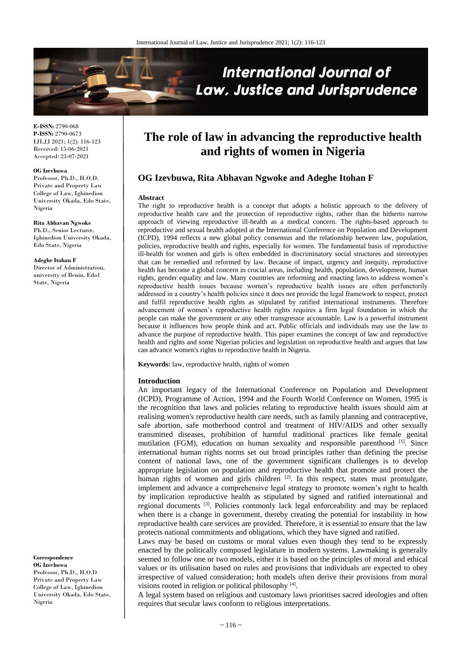

**E-ISSN:** 2790-068 **P-ISSN:** 2790-0673 IJLJJ 2021; 1(2): 116-123 Received: 15-06-2021 Accepted: 23-07-2021

#### **OG Izevbuwa**

Professor, Ph.D., H.O.D. Private and Property Law College of Law, Igbinedion University Okada, Edo State, Nigeria

**Rita Abhavan Ngwoke** Ph.D., Senior Lecturer, Igbinedion University Okada, Edo State, Nigeria

**Adeghe Itohan F**

Director of Administration, university of Benin, Edo1 State, Nigeria

**Correspondence OG Izevbuwa**  Professor, Ph.D., H.O.D. Private and Property Law College of Law, Igbinedion University Okada, Edo State, Nigeria

# **The role of law in advancing the reproductive health and rights of women in Nigeria**

# **OG Izevbuwa, Rita Abhavan Ngwoke and Adeghe Itohan F**

### **Abstract**

The right to reproductive health is a concept that adopts a holistic approach to the delivery of reproductive health care and the protection of reproductive rights, rather than the hitherto narrow approach of viewing reproductive ill-health as a medical concern. The rights-based approach to reproductive and sexual health adopted at the International Conference on Population and Development (ICPD), 1994 reflects a new global policy consensus and the relationship between law, population, policies, reproductive health and rights, especially for women. The fundamental basis of reproductive ill-health for women and girls is often embedded in discriminatory social structures and stereotypes that can be remedied and reformed by law. Because of impact, urgency and inequity, reproductive health has become a global concern in crucial areas, including health, population, development, human rights, gender equality and law. Many countries are reforming and enacting laws to address women's reproductive health issues because women's reproductive health issues are often perfunctorily addressed in a country's health policies since it does not provide the legal framework to respect, protect and fulfil reproductive health rights as stipulated by ratified international instruments. Therefore advancement of women's reproductive health rights requires a firm legal foundation in which the people can make the government or any other transgressor accountable. Law is a powerful instrument because it influences how people think and act. Public officials and individuals may use the law to advance the purpose of reproductive health. This paper examines the concept of law and reproductive health and rights and some Nigerian policies and legislation on reproductive health and argues that law can advance women's rights to reproductive health in Nigeria.

**Keywords:** law, reproductive health, rights of women

#### **Introduction**

An important legacy of the International Conference on Population and Development (ICPD), Programme of Action, 1994 and the Fourth World Conference on Women, 1995 is the recognition that laws and policies relating to reproductive health issues should aim at realising women's reproductive health care needs, such as family planning and contraceptive, safe abortion, safe motherhood control and treatment of HIV/AIDS and other sexually transmitted diseases, prohibition of harmful traditional practices like female genital mutilation (FGM), education on human sexuality and responsible parenthood [1]. Since international human rights norms set out broad principles rather than defining the precise content of national laws, one of the government significant challenges is to develop appropriate legislation on population and reproductive health that promote and protect the human rights of women and girls children  $[2]$ . In this respect, states must promulgate, implement and advance a comprehensive legal strategy to promote women's right to health by implication reproductive health as stipulated by signed and ratified international and regional documents <sup>[3]</sup>. Policies commonly lack legal enforceability and may be replaced when there is a change in government, thereby creating the potential for instability in how reproductive health care services are provided. Therefore, it is essential to ensure that the law protects national commitments and obligations, which they have signed and ratified.

Laws may be based on customs or moral values even though they tend to be expressly enacted by the politically composed legislature in modern systems. Lawmaking is generally seemed to follow one or two models, either it is based on the principles of moral and ethical values or its utilisation based on rules and provisions that individuals are expected to obey irrespective of valued consideration; both models often derive their provisions from moral visions rooted in religion or political philosophy [4].

A legal system based on religious and customary laws prioritises sacred ideologies and often requires that secular laws conform to religious interpretations.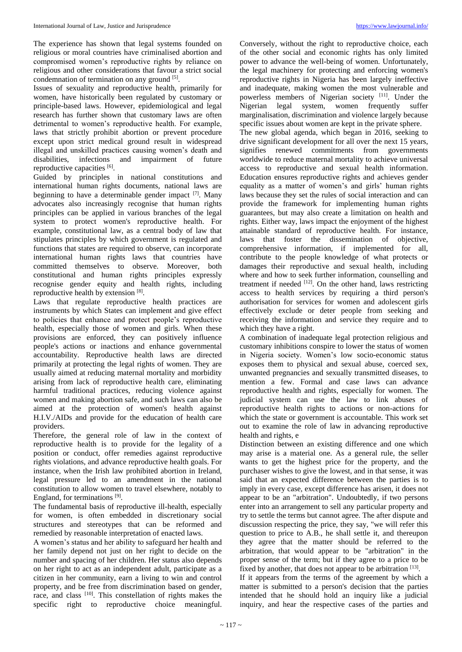The experience has shown that legal systems founded on religious or moral countries have criminalised abortion and compromised women's reproductive rights by reliance on religious and other considerations that favour a strict social condemnation of termination on any ground <sup>[5]</sup>.

Issues of sexuality and reproductive health, primarily for women, have historically been regulated by customary or principle-based laws. However, epidemiological and legal research has further shown that customary laws are often detrimental to women's reproductive health. For example, laws that strictly prohibit abortion or prevent procedure except upon strict medical ground result in widespread illegal and unskilled practices causing women's death and disabilities, infections and impairment of future reproductive capacities [6].

Guided by principles in national constitutions and international human rights documents, national laws are beginning to have a determinable gender impact <sup>[7]</sup>. Many advocates also increasingly recognise that human rights principles can be applied in various branches of the legal system to protect women's reproductive health. For example, constitutional law, as a central body of law that stipulates principles by which government is regulated and functions that states are required to observe, can incorporate international human rights laws that countries have committed themselves to observe. Moreover, both constitutional and human rights principles expressly recognise gender equity and health rights, including reproductive health by extension [8].

Laws that regulate reproductive health practices are instruments by which States can implement and give effect to policies that enhance and protect people's reproductive health, especially those of women and girls. When these provisions are enforced, they can positively influence people's actions or inactions and enhance governmental accountability. Reproductive health laws are directed primarily at protecting the legal rights of women. They are usually aimed at reducing maternal mortality and morbidity arising from lack of reproductive health care, eliminating harmful traditional practices, reducing violence against women and making abortion safe, and such laws can also be aimed at the protection of women's health against H.I.V./AIDs and provide for the education of health care providers.

Therefore, the general role of law in the context of reproductive health is to provide for the legality of a position or conduct, offer remedies against reproductive rights violations, and advance reproductive health goals. For instance, when the Irish law prohibited abortion in Ireland, legal pressure led to an amendment in the national constitution to allow women to travel elsewhere, notably to England, for terminations<sup>[9]</sup>.

The fundamental basis of reproductive ill-health, especially for women, is often embedded in discretionary social structures and stereotypes that can be reformed and remedied by reasonable interpretation of enacted laws.

A women's status and her ability to safeguard her health and her family depend not just on her right to decide on the number and spacing of her children. Her status also depends on her right to act as an independent adult, participate as a citizen in her community, earn a living to win and control property, and be free from discrimination based on gender, race, and class [10]. This constellation of rights makes the specific right to reproductive choice meaningful.

Conversely, without the right to reproductive choice, each of the other social and economic rights has only limited power to advance the well-being of women. Unfortunately, the legal machinery for protecting and enforcing women's reproductive rights in Nigeria has been largely ineffective and inadequate, making women the most vulnerable and powerless members of Nigerian society<sup>[11]</sup>. Under the Nigerian legal system, women frequently suffer marginalisation, discrimination and violence largely because specific issues about women are kept in the private sphere.

The new global agenda, which began in 2016, seeking to drive significant development for all over the next 15 years, signifies renewed commitments from governments worldwide to reduce maternal mortality to achieve universal access to reproductive and sexual health information. Education ensures reproductive rights and achieves gender equality as a matter of women's and girls' human rights laws because they set the rules of social interaction and can provide the framework for implementing human rights guarantees, but may also create a limitation on health and rights. Either way, laws impact the enjoyment of the highest attainable standard of reproductive health. For instance, laws that foster the dissemination of objective, comprehensive information, if implemented for all, contribute to the people knowledge of what protects or damages their reproductive and sexual health, including where and how to seek further information, counselling and treatment if needed  $[12]$ . On the other hand, laws restricting access to health services by requiring a third person's authorisation for services for women and adolescent girls effectively exclude or deter people from seeking and receiving the information and service they require and to which they have a right.

A combination of inadequate legal protection religious and customary inhibitions conspire to lower the status of women in Nigeria society. Women's low socio-economic status exposes them to physical and sexual abuse, coerced sex, unwanted pregnancies and sexually transmitted diseases, to mention a few. Formal and case laws can advance reproductive health and rights, especially for women. The judicial system can use the law to link abuses of reproductive health rights to actions or non-actions for which the state or government is accountable. This work set out to examine the role of law in advancing reproductive health and rights, e

Distinction between an existing difference and one which may arise is a material one. As a general rule, the seller wants to get the highest price for the property, and the purchaser wishes to give the lowest, and in that sense, it was said that an expected difference between the parties is to imply in every case, except difference has arisen, it does not appear to be an "arbitration". Undoubtedly, if two persons enter into an arrangement to sell any particular property and try to settle the terms but cannot agree. The after dispute and discussion respecting the price, they say, "we will refer this question to price to A.B., he shall settle it, and thereupon they agree that the matter should be referred to the arbitration, that would appear to be "arbitration" in the proper sense of the term; but if they agree to a price to be fixed by another, that does not appear to be arbitration [13].

If it appears from the terms of the agreement by which a matter is submitted to a person's decision that the parties intended that he should hold an inquiry like a judicial inquiry, and hear the respective cases of the parties and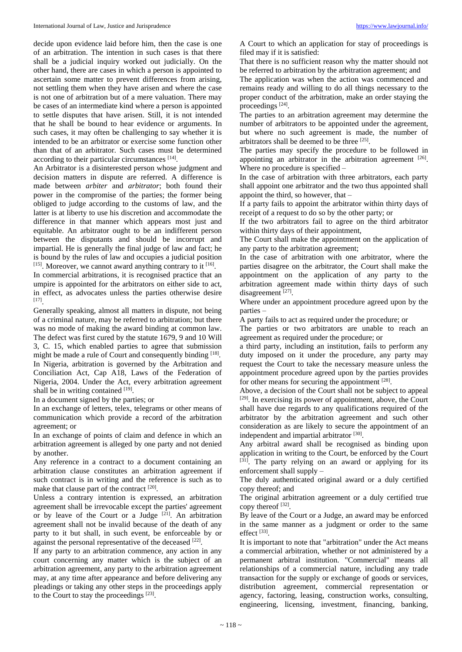decide upon evidence laid before him, then the case is one of an arbitration. The intention in such cases is that there shall be a judicial inquiry worked out judicially. On the other hand, there are cases in which a person is appointed to ascertain some matter to prevent differences from arising, not settling them when they have arisen and where the case is not one of arbitration but of a mere valuation. There may be cases of an intermediate kind where a person is appointed to settle disputes that have arisen. Still, it is not intended that he shall be bound to hear evidence or arguments. In such cases, it may often be challenging to say whether it is intended to be an arbitrator or exercise some function other than that of an arbitrator. Such cases must be determined according to their particular circumstances [14].

An Arbitrator is a disinterested person whose judgment and decision matters in dispute are referred. A difference is made between *arbiter* and *arbitrator*; both found their power in the compromise of the parties; the former being obliged to judge according to the customs of law, and the latter is at liberty to use his discretion and accommodate the difference in that manner which appears most just and equitable. An arbitrator ought to be an indifferent person between the disputants and should be incorrupt and impartial. He is generally the final judge of law and fact; he is bound by the rules of law and occupies a judicial position  $[15]$ . Moreover, we cannot award anything contrary to it  $[16]$ .

In commercial arbitrations, it is recognised practice that an umpire is appointed for the arbitrators on either side to act, in effect, as advocates unless the parties otherwise desire [17] .

Generally speaking, almost all matters in dispute, not being of a criminal nature, may be referred to arbitration; but there was no mode of making the award binding at common law. The defect was first cured by the statute 1679, 9 and 10 Will 3, C. 15, which enabled parties to agree that submission might be made a rule of Court and consequently binding [18]. In Nigeria, arbitration is governed by the Arbitration and Conciliation Act, Cap A18, Laws of the Federation of Nigeria, 2004. Under the Act, every arbitration agreement shall be in writing contained [19].

In a document signed by the parties; or

In an exchange of letters, telex, telegrams or other means of communication which provide a record of the arbitration agreement; or

In an exchange of points of claim and defence in which an arbitration agreement is alleged by one party and not denied by another.

Any reference in a contract to a document containing an arbitration clause constitutes an arbitration agreement if such contract is in writing and the reference is such as to make that clause part of the contract [20].

Unless a contrary intention is expressed, an arbitration agreement shall be irrevocable except the parties' agreement or by leave of the Court or a Judge <sup>[21]</sup>. An arbitration agreement shall not be invalid because of the death of any party to it but shall, in such event, be enforceable by or against the personal representative of the deceased [22].

If any party to an arbitration commence, any action in any court concerning any matter which is the subject of an arbitration agreement, any party to the arbitration agreement may, at any time after appearance and before delivering any pleadings or taking any other steps in the proceedings apply to the Court to stay the proceedings  $[23]$ .

A Court to which an application for stay of proceedings is filed may if it is satisfied:

That there is no sufficient reason why the matter should not be referred to arbitration by the arbitration agreement; and

The application was when the action was commenced and remains ready and willing to do all things necessary to the proper conduct of the arbitration, make an order staying the proceedings<sup>[24]</sup>.

The parties to an arbitration agreement may determine the number of arbitrators to be appointed under the agreement, but where no such agreement is made, the number of arbitrators shall be deemed to be three [25] .

The parties may specify the procedure to be followed in appointing an arbitrator in the arbitration agreement [26]. Where no procedure is specified –

In the case of arbitration with three arbitrators, each party shall appoint one arbitrator and the two thus appointed shall appoint the third, so however, that –

If a party fails to appoint the arbitrator within thirty days of receipt of a request to do so by the other party; or

If the two arbitrators fail to agree on the third arbitrator within thirty days of their appointment,

The Court shall make the appointment on the application of any party to the arbitration agreement;

In the case of arbitration with one arbitrator, where the parties disagree on the arbitrator, the Court shall make the appointment on the application of any party to the arbitration agreement made within thirty days of such disagreement [27].

Where under an appointment procedure agreed upon by the parties –

A party fails to act as required under the procedure; or

The parties or two arbitrators are unable to reach an agreement as required under the procedure; or

a third party, including an institution, fails to perform any duty imposed on it under the procedure, any party may request the Court to take the necessary measure unless the appointment procedure agreed upon by the parties provides for other means for securing the appointment  $^{[28]}$ .

Above, a decision of the Court shall not be subject to appeal [29]. In exercising its power of appointment, above, the Court shall have due regards to any qualifications required of the arbitrator by the arbitration agreement and such other consideration as are likely to secure the appointment of an independent and impartial arbitrator<sup>[30]</sup>.

Any arbitral award shall be recognised as binding upon application in writing to the Court, be enforced by the Court [31]. The party relying on an award or applying for its enforcement shall supply –

The duly authenticated original award or a duly certified copy thereof; and

The original arbitration agreement or a duly certified true copy thereof [32].

By leave of the Court or a Judge, an award may be enforced in the same manner as a judgment or order to the same effect<sup>[33]</sup>.

It is important to note that "arbitration" under the Act means a commercial arbitration, whether or not administered by a permanent arbitral institution. "Commercial" means all relationships of a commercial nature, including any trade transaction for the supply or exchange of goods or services, distribution agreement, commercial representation or agency, factoring, leasing, construction works, consulting, engineering, licensing, investment, financing, banking,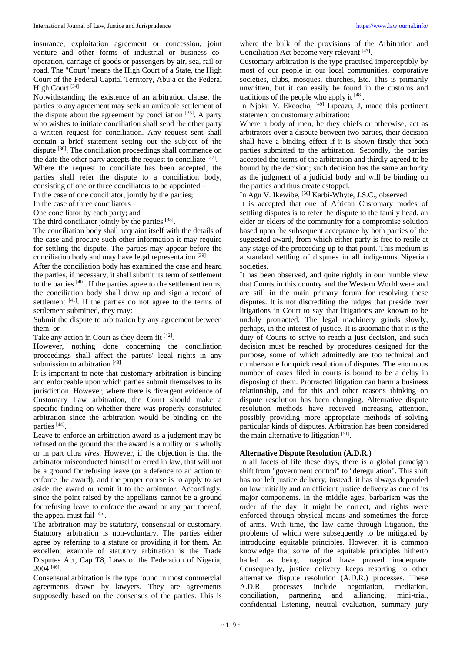insurance, exploitation agreement or concession, joint venture and other forms of industrial or business cooperation, carriage of goods or passengers by air, sea, rail or road. The "Court" means the High Court of a State, the High Court of the Federal Capital Territory, Abuja or the Federal High Court<sup>[34]</sup>.

Notwithstanding the existence of an arbitration clause, the parties to any agreement may seek an amicable settlement of the dispute about the agreement by conciliation  $[35]$ . A party who wishes to initiate conciliation shall send the other party a written request for conciliation. Any request sent shall contain a brief statement setting out the subject of the dispute <sup>[36]</sup>. The conciliation proceedings shall commence on the date the other party accepts the request to conciliate [37].

Where the request to conciliate has been accepted, the parties shall refer the dispute to a conciliation body, consisting of one or three conciliators to be appointed –

In the case of one conciliator, jointly by the parties;

In the case of three conciliators –

One conciliator by each party; and

The third conciliator jointly by the parties [38].

The conciliation body shall acquaint itself with the details of the case and procure such other information it may require for settling the dispute. The parties may appear before the conciliation body and may have legal representation [39].

After the conciliation body has examined the case and heard the parties, if necessary, it shall submit its term of settlement to the parties  $[40]$ . If the parties agree to the settlement terms, the conciliation body shall draw up and sign a record of settlement  $[41]$ . If the parties do not agree to the terms of settlement submitted, they may:

Submit the dispute to arbitration by any agreement between them; or

Take any action in Court as they deem fit  $[42]$ .

However, nothing done concerning the conciliation proceedings shall affect the parties' legal rights in any submission to arbitration [43].

It is important to note that customary arbitration is binding and enforceable upon which parties submit themselves to its jurisdiction. However, where there is divergent evidence of Customary Law arbitration, the Court should make a specific finding on whether there was properly constituted arbitration since the arbitration would be binding on the parties [44] .

Leave to enforce an arbitration award as a judgment may be refused on the ground that the award is a nullity or is wholly or in part ultra *vires*. However, if the objection is that the arbitrator misconducted himself or erred in law, that will not be a ground for refusing leave (or a defence to an action to enforce the award), and the proper course is to apply to set aside the award or remit it to the arbitrator. Accordingly, since the point raised by the appellants cannot be a ground for refusing leave to enforce the award or any part thereof, the appeal must fail [45].

The arbitration may be statutory, consensual or customary. Statutory arbitration is non-voluntary. The parties either agree by referring to a statute or providing it for them. An excellent example of statutory arbitration is the Trade Disputes Act, Cap T8, Laws of the Federation of Nigeria, 2004 [46] .

Consensual arbitration is the type found in most commercial agreements drawn by lawyers. They are agreements supposedly based on the consensus of the parties. This is

where the bulk of the provisions of the Arbitration and Conciliation Act become very relevant [47].

Customary arbitration is the type practised imperceptibly by most of our people in our local communities, corporative societies, clubs, mosques, churches, Etc. This is primarily unwritten, but it can easily be found in the customs and traditions of the people who apply it [48].

In Njoku V. Ekeocha, <sup>[49]</sup> Ikpeazu, J, made this pertinent statement on customary arbitration:

Where a body of men, be they chiefs or otherwise, act as arbitrators over a dispute between two parties, their decision shall have a binding effect if it is shown firstly that both parties submitted to the arbitration. Secondly, the parties accepted the terms of the arbitration and thirdly agreed to be bound by the decision; such decision has the same authority as the judgment of a judicial body and will be binding on the parties and thus create estoppel.

In Agu V. Ikewibe,  $[50]$  Karbi-Whyte, J.S.C., observed:

It is accepted that one of African Customary modes of settling disputes is to refer the dispute to the family head, an elder or elders of the community for a compromise solution based upon the subsequent acceptance by both parties of the suggested award, from which either party is free to resile at any stage of the proceeding up to that point. This medium is a standard settling of disputes in all indigenous Nigerian societies.

It has been observed, and quite rightly in our humble view that Courts in this country and the Western World were and are still in the main primary forum for resolving these disputes. It is not discrediting the judges that preside over litigations in Court to say that litigations are known to be unduly protracted. The legal machinery grinds slowly, perhaps, in the interest of justice. It is axiomatic that it is the duty of Courts to strive to reach a just decision, and such decision must be reached by procedures designed for the purpose, some of which admittedly are too technical and cumbersome for quick resolution of disputes. The enormous number of cases filed in courts is bound to be a delay in disposing of them. Protracted litigation can harm a business relationship, and for this and other reasons thinking on dispute resolution has been changing. Alternative dispute resolution methods have received increasing attention, possibly providing more appropriate methods of solving particular kinds of disputes. Arbitration has been considered the main alternative to litigation  $[51]$ .

# **Alternative Dispute Resolution (A.D.R.)**

In all facets of life these days, there is a global paradigm shift from "government control" to "deregulation". This shift has not left justice delivery; instead, it has always depended on law initially and an efficient justice delivery as one of its major components. In the middle ages, barbarism was the order of the day; it might be correct, and rights were enforced through physical means and sometimes the force of arms. With time, the law came through litigation, the problems of which were subsequently to be mitigated by introducing equitable principles. However, it is common knowledge that some of the equitable principles hitherto hailed as being magical have proved inadequate. Consequently, justice delivery keeps resorting to other alternative dispute resolution (A.D.R.) processes. These A.D.R. processes include negotiation, mediation, conciliation, partnering and alliancing, mini-trial, confidential listening, neutral evaluation, summary jury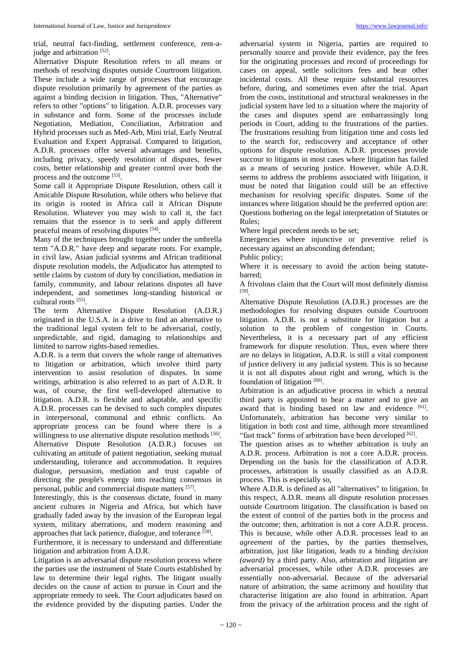trial, neutral fact-finding, settlement conference, rent-ajudge and arbitration [52].

Alternative Dispute Resolution refers to all means or methods of resolving disputes outside Courtroom litigation. These include a wide range of processes that encourage dispute resolution primarily by agreement of the parties as against a binding decision in litigation. Thus, "Alternative" refers to other "options" to litigation. A.D.R. processes vary in substance and form. Some of the processes include Negotiation, Mediation, Conciliation, Arbitration and Hybrid processes such as Med-Arb, Mini trial, Early Neutral Evaluation and Expert Appraisal. Compared to litigation, A.D.R. processes offer several advantages and benefits, including privacy, speedy resolution of disputes, fewer costs, better relationship and greater control over both the process and the outcome [53].

Some call it Appropriate Dispute Resolution, others call it Amicable Dispute Resolution, while others who believe that its origin is rooted in Africa call it African Dispute Resolution. Whatever you may wish to call it, the fact remains that the essence is to seek and apply different peaceful means of resolving disputes [54].

Many of the techniques brought together under the umbrella term "A.D.R." have deep and separate roots. For example, in civil law, Asian judicial systems and African traditional dispute resolution models, the Adjudicator has attempted to settle claims by custom of duty by conciliation, mediation in family, community, and labour relations disputes all have independent, and sometimes long-standing historical or cultural roots [55] .

The term Alternative Dispute Resolution (A.D.R.) originated in the U.S.A. in a drive to find an alternative to the traditional legal system felt to be adversarial, costly, unpredictable, and rigid, damaging to relationships and limited to narrow rights-based remedies.

A.D.R. is a term that covers the whole range of alternatives to litigation or arbitration, which involve third party intervention to assist resolution of disputes. In some writings, arbitration is also referred to as part of A.D.R. It was, of course, the first well-developed alternative to litigation. A.D.R. is flexible and adaptable, and specific A.D.R. processes can be devised to such complex disputes in interpersonal, communal and ethnic conflicts. An appropriate process can be found where there is a willingness to use alternative dispute resolution methods [56]. Alternative Dispute Resolution (A.D.R.) focuses on cultivating an attitude of patient negotiation, seeking mutual understanding, tolerance and accommodation. It requires dialogue, persuasion, mediation and trust capable of directing the people's energy into reaching consensus in personal, public and commercial dispute matters [57].

Interestingly, this is the consensus dictate, found in many ancient cultures in Nigeria and Africa, but which have gradually faded away by the invasion of the European legal system, military aberrations, and modern reasoning and approaches that lack patience, dialogue, and tolerance [58].

Furthermore, it is necessary to understand and differentiate litigation and arbitration from A.D.R.

Litigation is an adversarial dispute resolution process where the parties use the instrument of State Courts established by law to determine their legal rights. The litigant usually decides on the cause of action to pursue in Court and the appropriate remedy to seek. The Court adjudicates based on the evidence provided by the disputing parties. Under the

adversarial system in Nigeria, parties are required to personally source and provide their evidence, pay the fees for the originating processes and record of proceedings for cases on appeal, settle solicitors fees and bear other incidental costs. All these require substantial resources before, during, and sometimes even after the trial. Apart from the costs, institutional and structural weaknesses in the judicial system have led to a situation where the majority of the cases and disputes spend are embarrassingly long periods in Court, adding to the frustrations of the parties. The frustrations resulting from litigation time and costs led to the search for, rediscovery and acceptance of other options for dispute resolution. A.D.R. processes provide succour to litigants in most cases where litigation has failed as a means of securing justice. However, while A.D.R. seems to address the problems associated with litigation, it must be noted that litigation could still be an effective mechanism for resolving specific disputes. Some of the instances where litigation should be the preferred option are: Questions bothering on the legal interpretation of Statutes or Rules;

Where legal precedent needs to be set;

Emergencies where injunctive or preventive relief is necessary against an absconding defendant;

Public policy;

Where it is necessary to avoid the action being statutebarred;

A frivolous claim that the Court will most definitely dismiss [59] .

Alternative Dispute Resolution (A.D.R.) processes are the methodologies for resolving disputes outside Courtroom litigation. A.D.R. is not a substitute for litigation but a solution to the problem of congestion in Courts. Nevertheless, it is a necessary part of any efficient framework for dispute resolution. Thus, even where there are no delays in litigation, A.D.R. is still a vital component of justice delivery in any judicial system. This is so because it is not all disputes about right and wrong, which is the foundation of litigation [60].

Arbitration is an adjudicative process in which a neutral third party is appointed to hear a matter and to give an award that is binding based on law and evidence [61]. Unfortunately, arbitration has become very similar to litigation in both cost and time, although more streamlined "fast track" forms of arbitration have been developed [62].

The question arises as to whether arbitration is truly an A.D.R. process. Arbitration is not a core A.D.R. process. Depending on the basis for the classification of A.D.R. processes, arbitration is usually classified as an A.D.R. process. This is especially so,

Where A.D.R. is defined as all "alternatives" to litigation. In this respect, A.D.R. means all dispute resolution processes outside Courtroom litigation. The classification is based on the extent of control of the parties both in the process and the outcome; then, arbitration is not a core A.D.R. process. This is because, while other A.D.R. processes lead to an *agreement* of the parties, by the parties themselves, arbitration, just like litigation, leads to a binding *decision (award)* by a third party. Also, arbitration and litigation are adversarial processes, while other A.D.R. processes are essentially non-adversarial. Because of the adversarial nature of arbitration, the same acrimony and hostility that characterise litigation are also found in arbitration. Apart from the privacy of the arbitration process and the right of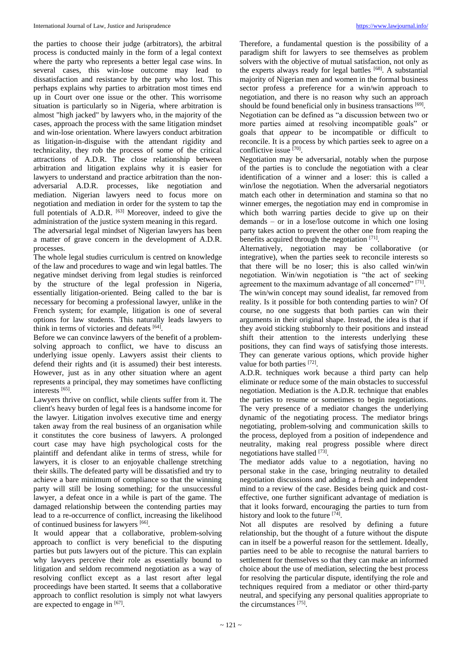the parties to choose their judge (arbitrators), the arbitral process is conducted mainly in the form of a legal context where the party who represents a better legal case wins. In several cases, this win-lose outcome may lead to dissatisfaction and resistance by the party who lost. This perhaps explains why parties to arbitration most times end up in Court over one issue or the other. This worrisome situation is particularly so in Nigeria, where arbitration is almost "high jacked" by lawyers who, in the majority of the cases, approach the process with the same litigation mindset and win-lose orientation. Where lawyers conduct arbitration as litigation-in-disguise with the attendant rigidity and technicality, they rob the process of some of the critical attractions of A.D.R. The close relationship between arbitration and litigation explains why it is easier for lawyers to understand and practice arbitration than the nonadversarial A.D.R. processes, like negotiation and mediation. Nigerian lawyers need to focus more on negotiation and mediation in order for the system to tap the full potentials of A.D.R. <sup>[63]</sup> Moreover, indeed to give the administration of the justice system meaning in this regard.

The adversarial legal mindset of Nigerian lawyers has been a matter of grave concern in the development of A.D.R. processes.

The whole legal studies curriculum is centred on knowledge of the law and procedures to wage and win legal battles. The negative mindset deriving from legal studies is reinforced by the structure of the legal profession in Nigeria, essentially litigation-oriented. Being called to the bar is necessary for becoming a professional lawyer, unlike in the French system; for example, litigation is one of several options for law students. This naturally leads lawyers to think in terms of victories and defeats [64].

Before we can convince lawyers of the benefit of a problemsolving approach to conflict, we have to discuss an underlying issue openly. Lawyers assist their clients to defend their rights and (it is assumed) their best interests. However, just as in any other situation where an agent represents a principal, they may sometimes have conflicting interests [65] .

Lawyers thrive on conflict, while clients suffer from it. The client's heavy burden of legal fees is a handsome income for the lawyer. Litigation involves executive time and energy taken away from the real business of an organisation while it constitutes the core business of lawyers. A prolonged court case may have high psychological costs for the plaintiff and defendant alike in terms of stress, while for lawyers, it is closer to an enjoyable challenge stretching their skills. The defeated party will be dissatisfied and try to achieve a bare minimum of compliance so that the winning party will still be losing something; for the unsuccessful lawyer, a defeat once in a while is part of the game. The damaged relationship between the contending parties may lead to a re-occurrence of conflict, increasing the likelihood of continued business for lawyers [66].

It would appear that a collaborative, problem-solving approach to conflict is very beneficial to the disputing parties but puts lawyers out of the picture. This can explain why lawyers perceive their role as essentially bound to litigation and seldom recommend negotiation as a way of resolving conflict except as a last resort after legal proceedings have been started. It seems that a collaborative approach to conflict resolution is simply not what lawyers are expected to engage in [67].

Therefore, a fundamental question is the possibility of a paradigm shift for lawyers to see themselves as problem solvers with the objective of mutual satisfaction, not only as the experts always ready for legal battles  $[68]$ . A substantial majority of Nigerian men and women in the formal business sector profess a preference for a win/win approach to negotiation, and there is no reason why such an approach should be found beneficial only in business transactions [69].

Negotiation can be defined as "a discussion between two or more parties aimed at resolving incompatible goals" or goals that *appear* to be incompatible or difficult to reconcile. It is a process by which parties seek to agree on a conflictive issue [70].

Negotiation may be adversarial, notably when the purpose of the parties is to conclude the negotiation with a clear identification of a winner and a loser: this is called a win/lose the negotiation. When the adversarial negotiators match each other in determination and stamina so that no winner emerges, the negotiation may end in compromise in which both warring parties decide to give up on their demands – or in a lose/lose outcome in which one losing party takes action to prevent the other one from reaping the benefits acquired through the negotiation [71].

Alternatively, negotiation may be collaborative (or integrative), when the parties seek to reconcile interests so that there will be no loser; this is also called win/win negotiation. Win/win negotiation is "the act of seeking agreement to the maximum advantage of all concerned" [71].

The win/win concept may sound idealist, far removed from reality. Is it possible for both contending parties to win? Of course, no one suggests that both parties can win their arguments in their original shape. Instead, the idea is that if they avoid sticking stubbornly to their positions and instead shift their attention to the interests underlying these positions, they can find ways of satisfying those interests. They can generate various options, which provide higher value for both parties [72].

A.D.R. techniques work because a third party can help eliminate or reduce some of the main obstacles to successful negotiation. Mediation is the A.D.R. technique that enables the parties to resume or sometimes to begin negotiations. The very presence of a mediator changes the underlying dynamic of the negotiating process. The mediator brings negotiating, problem-solving and communication skills to the process, deployed from a position of independence and neutrality, making real progress possible where direct negotiations have stalled [73].

The mediator adds value to a negotiation, having no personal stake in the case, bringing neutrality to detailed negotiation discussions and adding a fresh and independent mind to a review of the case. Besides being quick and costeffective, one further significant advantage of mediation is that it looks forward, encouraging the parties to turn from history and look to the future  $[74]$ .

Not all disputes are resolved by defining a future relationship, but the thought of a future without the dispute can in itself be a powerful reason for the settlement. Ideally, parties need to be able to recognise the natural barriers to settlement for themselves so that they can make an informed choice about the use of mediation, selecting the best process for resolving the particular dispute, identifying the role and techniques required from a mediator or other third-party neutral, and specifying any personal qualities appropriate to the circumstances [75] .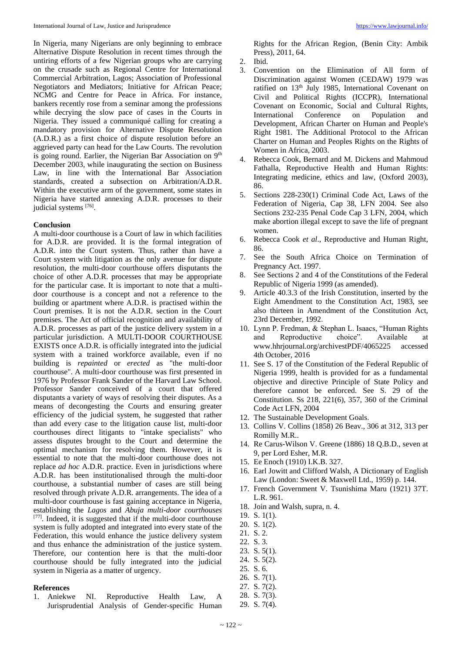In Nigeria, many Nigerians are only beginning to embrace Alternative Dispute Resolution in recent times through the untiring efforts of a few Nigerian groups who are carrying on the crusade such as Regional Centre for International Commercial Arbitration, Lagos; Association of Professional Negotiators and Mediators; Initiative for African Peace; NCMG and Centre for Peace in Africa. For instance, bankers recently rose from a seminar among the professions while decrying the slow pace of cases in the Courts in Nigeria. They issued a communiqué calling for creating a mandatory provision for Alternative Dispute Resolution (A.D.R.) as a first choice of dispute resolution before an aggrieved party can head for the Law Courts. The revolution is going round. Earlier, the Nigerian Bar Association on 9<sup>th</sup> December 2003, while inaugurating the section on Business Law, in line with the International Bar Association standards, created a subsection on Arbitration/A.D.R. Within the executive arm of the government, some states in Nigeria have started annexing A.D.R. processes to their judicial systems [76].

## **Conclusion**

A multi-door courthouse is a Court of law in which facilities for A.D.R. are provided. It is the formal integration of A.D.R. into the Court system. Thus, rather than have a Court system with litigation as the only avenue for dispute resolution, the multi-door courthouse offers disputants the choice of other A.D.R. processes that may be appropriate for the particular case. It is important to note that a multidoor courthouse is a concept and not a reference to the building or apartment where A.D.R. is practised within the Court premises. It is not the A.D.R. section in the Court premises. The Act of official recognition and availability of A.D.R. processes as part of the justice delivery system in a particular jurisdiction. A MULTI-DOOR COURTHOUSE EXISTS once A.D.R. is officially integrated into the judicial system with a trained workforce available, even if no building is *repainted* or *erected* as "the multi-door courthouse". A multi-door courthouse was first presented in 1976 by Professor Frank Sander of the Harvard Law School. Professor Sander conceived of a court that offered disputants a variety of ways of resolving their disputes. As a means of decongesting the Courts and ensuring greater efficiency of the judicial system, he suggested that rather than add every case to the litigation cause list, multi-door courthouses direct litigants to "intake specialists" who assess disputes brought to the Court and determine the optimal mechanism for resolving them. However, it is essential to note that the multi-door courthouse does not replace *ad hoc* A.D.R. practice. Even in jurisdictions where A.D.R. has been institutionalised through the multi-door courthouse, a substantial number of cases are still being resolved through private A.D.R. arrangements. The idea of a multi-door courthouse is fast gaining acceptance in Nigeria, establishing the *Lagos* and *Abuja multi-door courthouses* [77] *.* Indeed, it is suggested that if the multi-door courthouse system is fully adopted and integrated into every state of the Federation, this would enhance the justice delivery system and thus enhance the administration of the justice system. Therefore, our contention here is that the multi-door courthouse should be fully integrated into the judicial system in Nigeria as a matter of urgency.

## **References**

1. Aniekwe NI. Reproductive Health Law, A Jurisprudential Analysis of Gender-specific Human

Rights for the African Region, (Benin City: Ambik Press), 2011, 64.

- 2. Ibid.
- 3. Convention on the Elimination of All form of Discrimination against Women (CEDAW) 1979 was ratified on 13<sup>th</sup> July 1985, International Covenant on Civil and Political Rights (ICCPR), International Covenant on Economic, Social and Cultural Rights, International Conference on Population and Development, African Charter on Human and People's Right 1981. The Additional Protocol to the African Charter on Human and Peoples Rights on the Rights of Women in Africa, 2003.
- 4. Rebecca Cook, Bernard and M. Dickens and Mahmoud Fathalla, Reproductive Health and Human Rights: Integrating medicine, ethics and law, (Oxford 2003), 86.
- 5. Sections 228-230(1) Criminal Code Act, Laws of the Federation of Nigeria, Cap 38, LFN 2004. See also Sections 232-235 Penal Code Cap 3 LFN, 2004, which make abortion illegal except to save the life of pregnant women.
- 6. Rebecca Cook *et al*., Reproductive and Human Right, 86.
- 7. See the South Africa Choice on Termination of Pregnancy Act. 1997.
- 8. See Sections 2 and 4 of the Constitutions of the Federal Republic of Nigeria 1999 (as amended).
- 9. Article 40.3.3 of the Irish Constitution, inserted by the Eight Amendment to the Constitution Act, 1983, see also thirteen in Amendment of the Constitution Act, 23rd December, 1992.
- 10. Lynn P. Fredman, & Stephan L. Isaacs, "Human Rights and Reproductive choice". Available at www.hhrjournal.org/archivestPDF/4065225 accessed 4th October, 2016
- 11. See S. 17 of the Constitution of the Federal Republic of Nigeria 1999, health is provided for as a fundamental objective and directive Principle of State Policy and therefore cannot be enforced. See S. 29 of the Constitution. Ss 218, 221(6), 357, 360 of the Criminal Code Act LFN, 2004
- 12. The Sustainable Development Goals.
- 13. Collins V. Collins (1858) 26 Beav., 306 at 312, 313 per Romilly M.R..
- 14. Re Carus-Wilson V. Greene (1886) 18 Q.B.D., seven at 9, per Lord Esher, M.R.
- 15. Ee Enoch (1910) I.K.B. 327.
- 16. Earl Jowitt and Clifford Walsh, A Dictionary of English Law (London: Sweet & Maxwell Ltd., 1959) p. 144.
- 17. French Government V. Tsunishima Maru (1921) 37T. L.R. 961.
- 18. Join and Walsh, supra, n. 4.
- 19. S. 1(1).
- 20. S. 1(2).
- 21. S. 2.
- 22. S. 3.
- 23. S. 5(1).
- 24. S. 5(2).
- 25. S. 6.
- 26. S. 7(1).
- 27. S. 7(2).
- 28. S. 7(3).
- 29. S. 7(4).